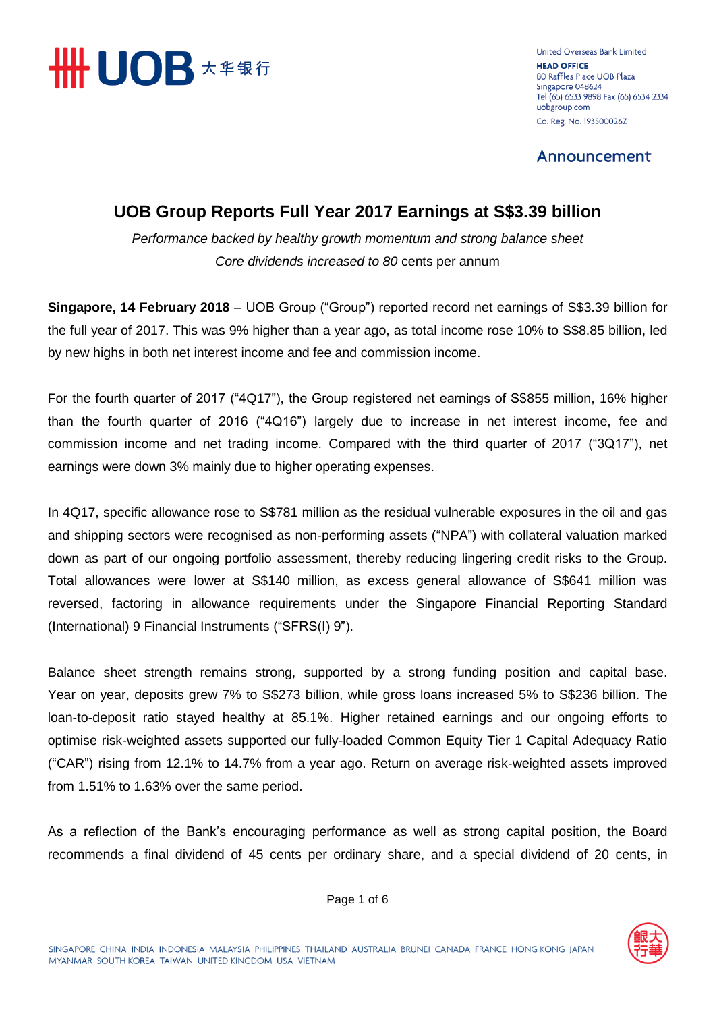

United Overseas Bank Limited **HEAD OFFICE** 80 Raffles Place UOB Plaza Singapore 048624 Tel (65) 6533 9898 Fax (65) 6534 2334 uobgroup.com Co. Reg. No. 193500026Z

Announcement

# **UOB Group Reports Full Year 2017 Earnings at S\$3.39 billion**

*Performance backed by healthy growth momentum and strong balance sheet Core dividends increased to 80* cents per annum

**Singapore, 14 February 2018** – UOB Group ("Group") reported record net earnings of S\$3.39 billion for the full year of 2017. This was 9% higher than a year ago, as total income rose 10% to S\$8.85 billion, led by new highs in both net interest income and fee and commission income.

For the fourth quarter of 2017 ("4Q17"), the Group registered net earnings of S\$855 million, 16% higher than the fourth quarter of 2016 ("4Q16") largely due to increase in net interest income, fee and commission income and net trading income. Compared with the third quarter of 2017 ("3Q17"), net earnings were down 3% mainly due to higher operating expenses.

In 4Q17, specific allowance rose to S\$781 million as the residual vulnerable exposures in the oil and gas and shipping sectors were recognised as non-performing assets ("NPA") with collateral valuation marked down as part of our ongoing portfolio assessment, thereby reducing lingering credit risks to the Group. Total allowances were lower at S\$140 million, as excess general allowance of S\$641 million was reversed, factoring in allowance requirements under the Singapore Financial Reporting Standard (International) 9 Financial Instruments ("SFRS(I) 9").

Balance sheet strength remains strong, supported by a strong funding position and capital base. Year on year, deposits grew 7% to S\$273 billion, while gross loans increased 5% to S\$236 billion. The loan-to-deposit ratio stayed healthy at 85.1%. Higher retained earnings and our ongoing efforts to optimise risk-weighted assets supported our fully-loaded Common Equity Tier 1 Capital Adequacy Ratio ("CAR") rising from 12.1% to 14.7% from a year ago. Return on average risk-weighted assets improved from 1.51% to 1.63% over the same period.

As a reflection of the Bank's encouraging performance as well as strong capital position, the Board recommends a final dividend of 45 cents per ordinary share, and a special dividend of 20 cents, in



Page 1 of 6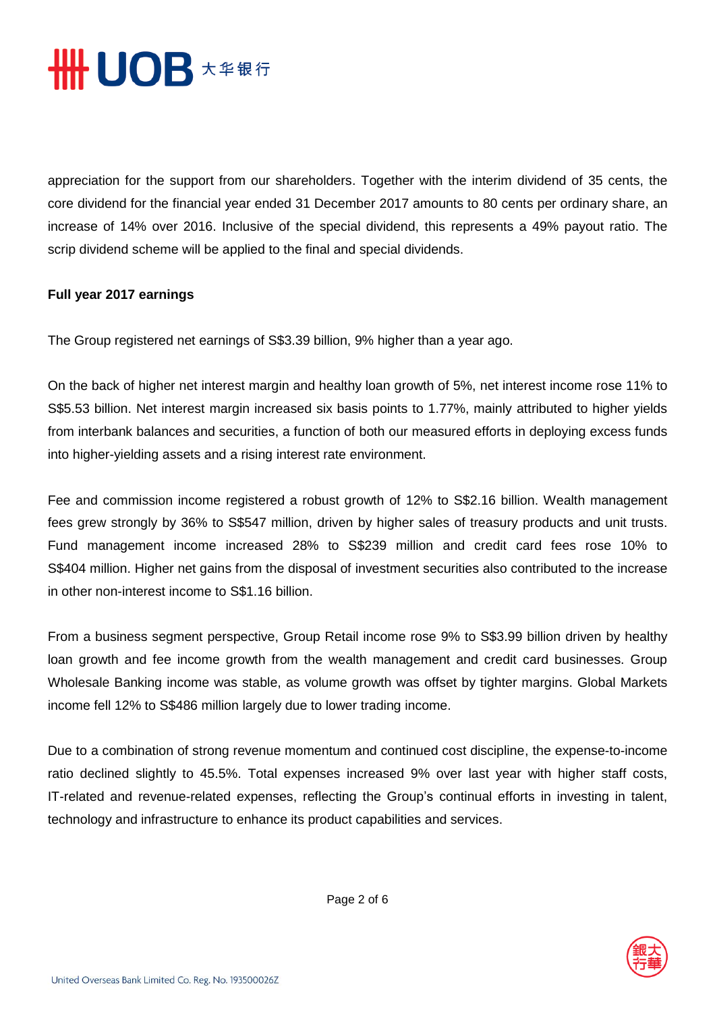

appreciation for the support from our shareholders. Together with the interim dividend of 35 cents, the core dividend for the financial year ended 31 December 2017 amounts to 80 cents per ordinary share, an increase of 14% over 2016. Inclusive of the special dividend, this represents a 49% payout ratio. The scrip dividend scheme will be applied to the final and special dividends.

### **Full year 2017 earnings**

The Group registered net earnings of S\$3.39 billion, 9% higher than a year ago.

On the back of higher net interest margin and healthy loan growth of 5%, net interest income rose 11% to S\$5.53 billion. Net interest margin increased six basis points to 1.77%, mainly attributed to higher yields from interbank balances and securities, a function of both our measured efforts in deploying excess funds into higher-yielding assets and a rising interest rate environment.

Fee and commission income registered a robust growth of 12% to S\$2.16 billion. Wealth management fees grew strongly by 36% to S\$547 million, driven by higher sales of treasury products and unit trusts. Fund management income increased 28% to S\$239 million and credit card fees rose 10% to S\$404 million. Higher net gains from the disposal of investment securities also contributed to the increase in other non-interest income to S\$1.16 billion.

From a business segment perspective, Group Retail income rose 9% to S\$3.99 billion driven by healthy loan growth and fee income growth from the wealth management and credit card businesses. Group Wholesale Banking income was stable, as volume growth was offset by tighter margins. Global Markets income fell 12% to S\$486 million largely due to lower trading income.

Due to a combination of strong revenue momentum and continued cost discipline, the expense-to-income ratio declined slightly to 45.5%. Total expenses increased 9% over last year with higher staff costs, IT-related and revenue-related expenses, reflecting the Group's continual efforts in investing in talent, technology and infrastructure to enhance its product capabilities and services.

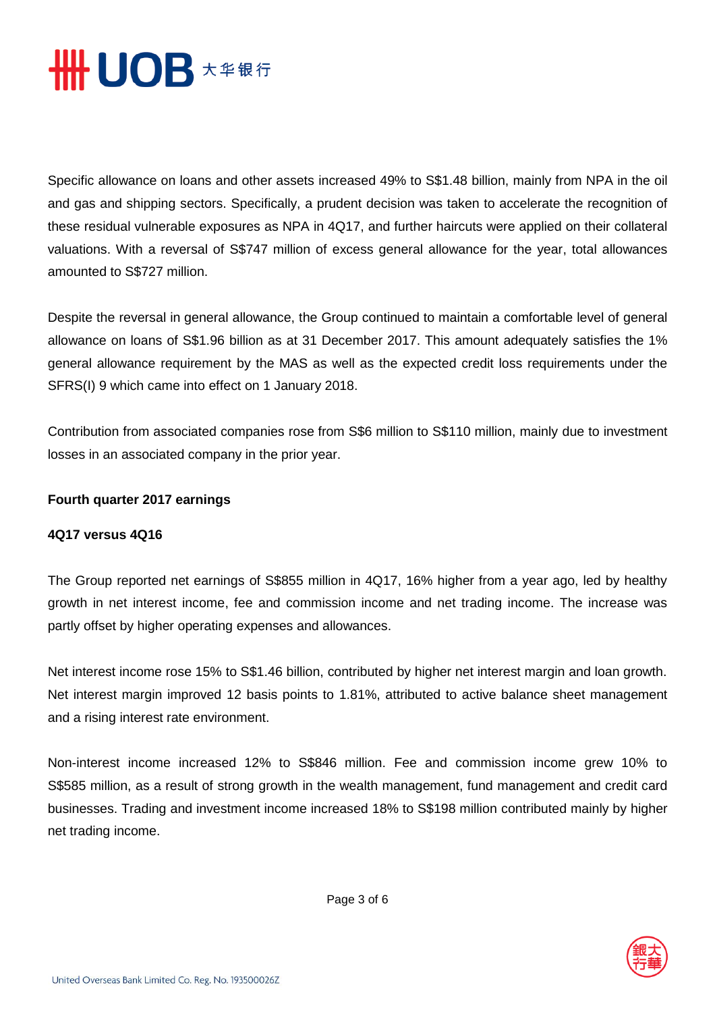

Specific allowance on loans and other assets increased 49% to S\$1.48 billion, mainly from NPA in the oil and gas and shipping sectors. Specifically, a prudent decision was taken to accelerate the recognition of these residual vulnerable exposures as NPA in 4Q17, and further haircuts were applied on their collateral valuations. With a reversal of S\$747 million of excess general allowance for the year, total allowances amounted to S\$727 million.

Despite the reversal in general allowance, the Group continued to maintain a comfortable level of general allowance on loans of S\$1.96 billion as at 31 December 2017. This amount adequately satisfies the 1% general allowance requirement by the MAS as well as the expected credit loss requirements under the SFRS(I) 9 which came into effect on 1 January 2018.

Contribution from associated companies rose from S\$6 million to S\$110 million, mainly due to investment losses in an associated company in the prior year.

#### **Fourth quarter 2017 earnings**

#### **4Q17 versus 4Q16**

The Group reported net earnings of S\$855 million in 4Q17, 16% higher from a year ago, led by healthy growth in net interest income, fee and commission income and net trading income. The increase was partly offset by higher operating expenses and allowances.

Net interest income rose 15% to S\$1.46 billion, contributed by higher net interest margin and loan growth. Net interest margin improved 12 basis points to 1.81%, attributed to active balance sheet management and a rising interest rate environment.

Non-interest income increased 12% to S\$846 million. Fee and commission income grew 10% to S\$585 million, as a result of strong growth in the wealth management, fund management and credit card businesses. Trading and investment income increased 18% to S\$198 million contributed mainly by higher net trading income.

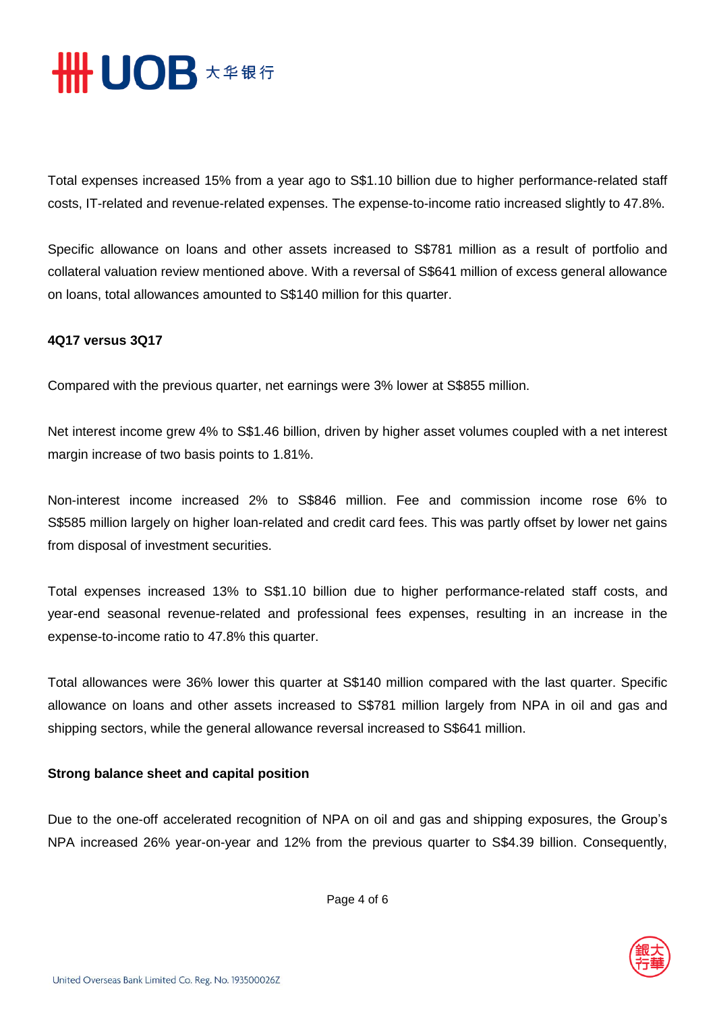

Total expenses increased 15% from a year ago to S\$1.10 billion due to higher performance-related staff costs, IT-related and revenue-related expenses. The expense-to-income ratio increased slightly to 47.8%.

Specific allowance on loans and other assets increased to S\$781 million as a result of portfolio and collateral valuation review mentioned above. With a reversal of S\$641 million of excess general allowance on loans, total allowances amounted to S\$140 million for this quarter.

#### **4Q17 versus 3Q17**

Compared with the previous quarter, net earnings were 3% lower at S\$855 million.

Net interest income grew 4% to S\$1.46 billion, driven by higher asset volumes coupled with a net interest margin increase of two basis points to 1.81%.

Non-interest income increased 2% to S\$846 million. Fee and commission income rose 6% to S\$585 million largely on higher loan-related and credit card fees. This was partly offset by lower net gains from disposal of investment securities.

Total expenses increased 13% to S\$1.10 billion due to higher performance-related staff costs, and year-end seasonal revenue-related and professional fees expenses, resulting in an increase in the expense-to-income ratio to 47.8% this quarter.

Total allowances were 36% lower this quarter at S\$140 million compared with the last quarter. Specific allowance on loans and other assets increased to S\$781 million largely from NPA in oil and gas and shipping sectors, while the general allowance reversal increased to S\$641 million.

#### **Strong balance sheet and capital position**

Due to the one-off accelerated recognition of NPA on oil and gas and shipping exposures, the Group's NPA increased 26% year-on-year and 12% from the previous quarter to S\$4.39 billion. Consequently,

Page 4 of 6

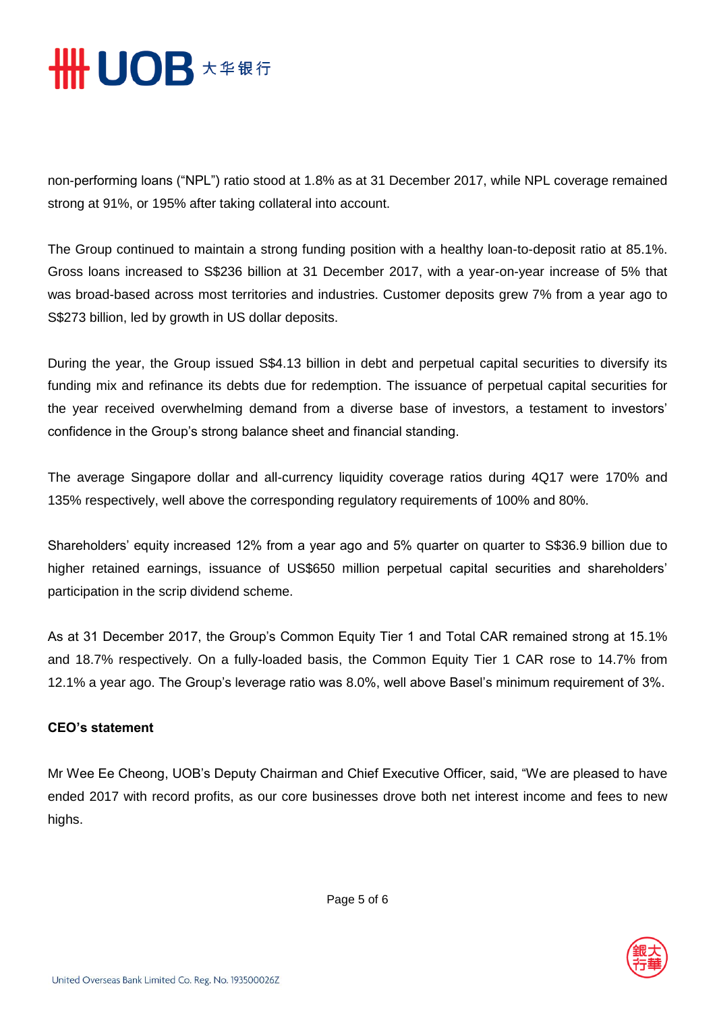

non-performing loans ("NPL") ratio stood at 1.8% as at 31 December 2017, while NPL coverage remained strong at 91%, or 195% after taking collateral into account.

The Group continued to maintain a strong funding position with a healthy loan-to-deposit ratio at 85.1%. Gross loans increased to S\$236 billion at 31 December 2017, with a year-on-year increase of 5% that was broad-based across most territories and industries. Customer deposits grew 7% from a year ago to S\$273 billion, led by growth in US dollar deposits.

During the year, the Group issued S\$4.13 billion in debt and perpetual capital securities to diversify its funding mix and refinance its debts due for redemption. The issuance of perpetual capital securities for the year received overwhelming demand from a diverse base of investors, a testament to investors' confidence in the Group's strong balance sheet and financial standing.

The average Singapore dollar and all-currency liquidity coverage ratios during 4Q17 were 170% and 135% respectively, well above the corresponding regulatory requirements of 100% and 80%.

Shareholders' equity increased 12% from a year ago and 5% quarter on quarter to S\$36.9 billion due to higher retained earnings, issuance of US\$650 million perpetual capital securities and shareholders' participation in the scrip dividend scheme.

As at 31 December 2017, the Group's Common Equity Tier 1 and Total CAR remained strong at 15.1% and 18.7% respectively. On a fully-loaded basis, the Common Equity Tier 1 CAR rose to 14.7% from 12.1% a year ago. The Group's leverage ratio was 8.0%, well above Basel's minimum requirement of 3%.

## **CEO's statement**

Mr Wee Ee Cheong, UOB's Deputy Chairman and Chief Executive Officer, said, "We are pleased to have ended 2017 with record profits, as our core businesses drove both net interest income and fees to new highs.